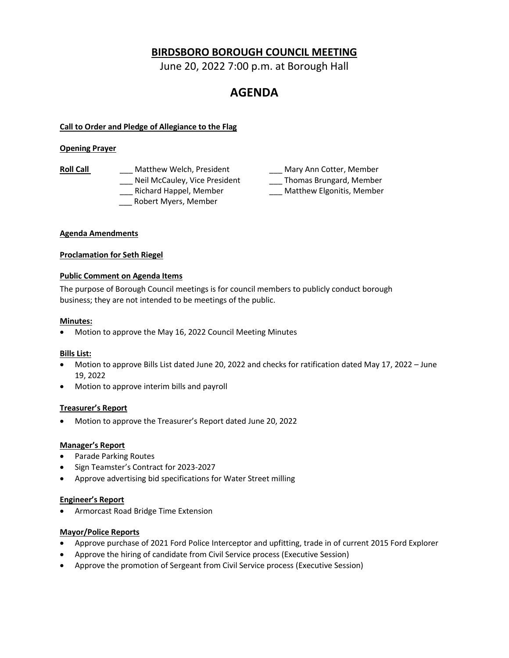# **BIRDSBORO BOROUGH COUNCIL MEETING**

June 20, 2022 7:00 p.m. at Borough Hall

# **AGENDA**

# **Call to Order and Pledge of Allegiance to the Flag**

# **Opening Prayer**

Roll Call **Call Call Call Call Call Call Call Calculary Mary Ann Cotter, Member** \_\_\_ Robert Myers, Member

Lackell McCauley, Vice President **Lackell Thomas Brungard, Member** \_\_\_ Richard Happel, Member \_\_\_ Matthew Elgonitis, Member

# **Agenda Amendments**

#### **Proclamation for Seth Riegel**

# **Public Comment on Agenda Items**

The purpose of Borough Council meetings is for council members to publicly conduct borough business; they are not intended to be meetings of the public.

# **Minutes:**

• Motion to approve the May 16, 2022 Council Meeting Minutes

#### **Bills List:**

- Motion to approve Bills List dated June 20, 2022 and checks for ratification dated May 17, 2022 June 19, 2022
- Motion to approve interim bills and payroll

# **Treasurer's Report**

• Motion to approve the Treasurer's Report dated June 20, 2022

#### **Manager's Report**

- Parade Parking Routes
- Sign Teamster's Contract for 2023-2027
- Approve advertising bid specifications for Water Street milling

#### **Engineer's Report**

• Armorcast Road Bridge Time Extension

# **Mayor/Police Reports**

- Approve purchase of 2021 Ford Police Interceptor and upfitting, trade in of current 2015 Ford Explorer
- Approve the hiring of candidate from Civil Service process (Executive Session)
- Approve the promotion of Sergeant from Civil Service process (Executive Session)